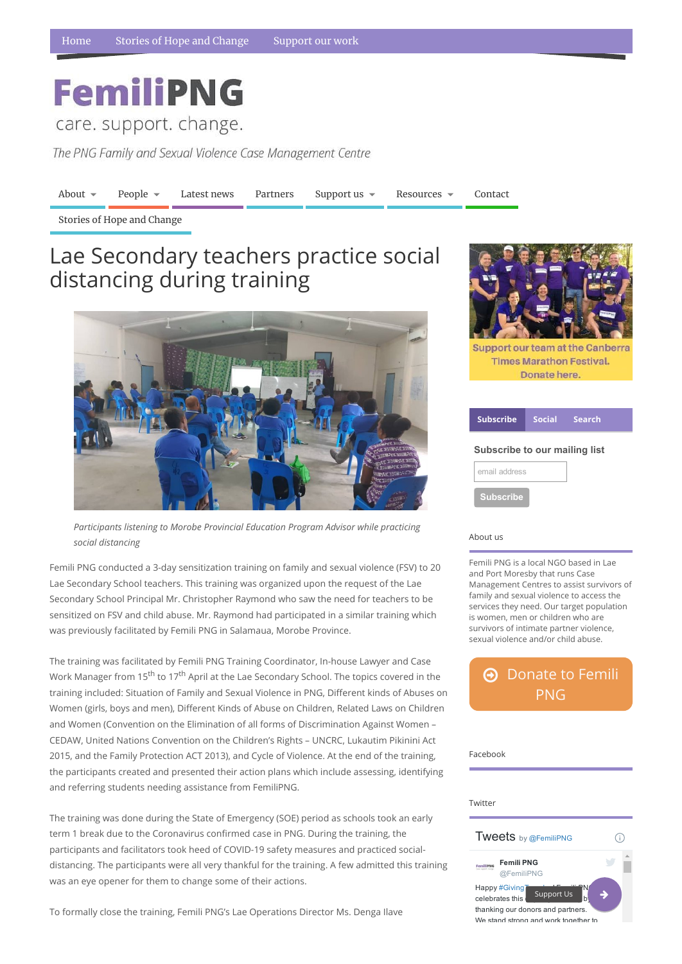## **FemiliPNG**

care. support. change.

The PNG Family and Sexual Violence Case Management Centre

[About](https://www.femilipng.org/introducing-the-png-family-and-sexual-violence-case-management-centre/)  $\bullet$  [People](https://www.femilipng.org/people/)  $\bullet$  [Latest](https://www.femilipng.org/category/news/) news [Partners](https://www.femilipng.org/partners-and-supporters/) [Support](https://www.femilipng.org/donate/) us  $\bullet$  [Resources](https://www.femilipng.org/resources-on-fsv-in-png/)  $\bullet$  [Contact](https://www.femilipng.org/contact/)

## About us

Femili PNG is a local NGO based in Lae and Port Moresby that runs Case Management Centres to assist survivors of family and sexual violence to access the services they need. Our target population is women, men or children who are survivors of intimate partner violence, sexual violence and/or child abuse.

| i ucciovun                                                                                                                                    |  |
|-----------------------------------------------------------------------------------------------------------------------------------------------|--|
| Twitter                                                                                                                                       |  |
| <b>Tweets</b> by @FemiliPNG                                                                                                                   |  |
| <b>Femili PNG</b><br>Gregori, chiesa<br>@FemiliPNG                                                                                            |  |
| Happy #Giving<br>'N<br><b>Support Us</b><br>celebrates this<br>b<br>thanking our donors and partners.<br>We stand strong and work together to |  |

## [Donate](https://www.femilipng.org/donate/) to Femili PNG

Facebook

Stories of Hope and [Change](https://www.femilipng.org/category/stories-of-hope-and-change/)

*Participants listening to Morobe Provincial Education Program Advisor while practicing social distancing*

Femili PNG conducted a 3-day sensitization training on family and sexual violence (FSV) to 20 Lae Secondary School teachers. This training was organized upon the request of the Lae Secondary School Principal Mr. Christopher Raymond who saw the need for teachers to be sensitized on FSV and child abuse. Mr. Raymond had participated in a similar training which was previously facilitated by Femili PNG in Salamaua, Morobe Province.

| <b>Subscribe</b>              |  | Social Search |  |  |
|-------------------------------|--|---------------|--|--|
| Subscribe to our mailing list |  |               |  |  |
| email address                 |  |               |  |  |
| <b>Subscribe</b>              |  |               |  |  |

The training was facilitated by Femili PNG Training Coordinator, In-house Lawyer and Case Work Manager from 15<sup>th</sup> to 17<sup>th</sup> April at the Lae Secondary School. The topics covered in the training included: Situation of Family and Sexual Violence in PNG, Different kinds of Abuses on Women (girls, boys and men), Different Kinds of Abuse on Children, Related Laws on Children and Women (Convention on the Elimination of all forms of Discrimination Against Women –



**Support our team at the Canberra Times Marathon Festival.** Donate here.

CEDAW, United Nations Convention on the Children's Rights – UNCRC, Lukautim Pikinini Act 2015, and the Family Protection ACT 2013), and Cycle of Violence. At the end of the training, the participants created and presented their action plans which include assessing, identifying and referring students needing assistance from FemiliPNG.

The training was done during the State of Emergency (SOE) period as schools took an early term 1 break due to the Coronavirus confirmed case in PNG. During the training, the participants and facilitators took heed of COVID-19 safety measures and practiced socialdistancing. The participants were all very thankful for the training. A few admitted this training was an eye opener for them to change some of their actions.

To formally close the training, Femili PNG's Lae Operations Director Ms. Denga Ilave

## Lae Secondary teachers practice social distancing during training